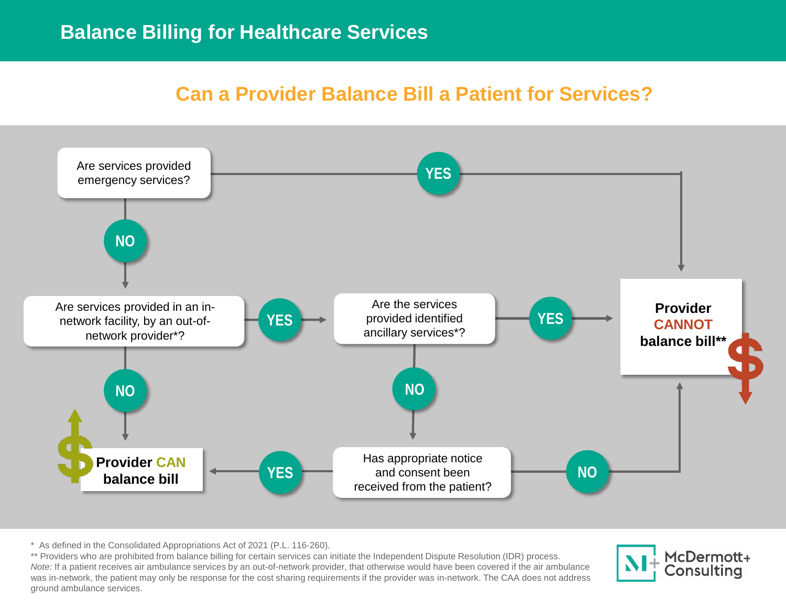# **Can a Provider Balance Bill a Patient for Services?**



<sup>\*</sup> As defined in the Consolidated Appropriations Act of 2021 (P.L. 116-260).

was in-network, the patient may only be response for the cost sharing requirements if the provider was in-network. The CAA does not address metal on the CAA does not address \*\* Providers who are prohibited from balance billing for certain services can initiate the Independent Dispute Resolution (IDR) process. *Note:* If a patient receives air ambulance services by an out-of-network provider, that otherwise would have been covered if the air ambulance ground ambulance services.

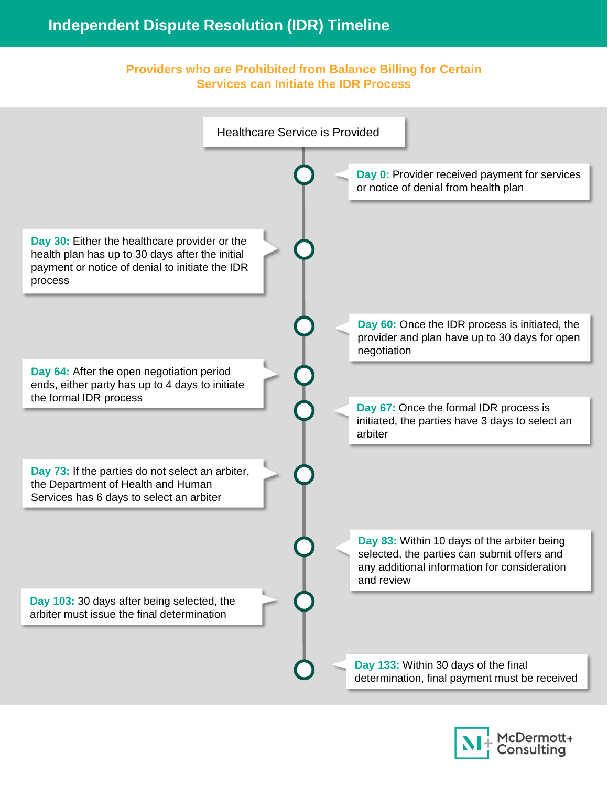## **Independent Dispute Resolution (IDR) Timeline**

#### **Providers who are Prohibited from Balance Billing for Certain Services can Initiate the IDR Process**